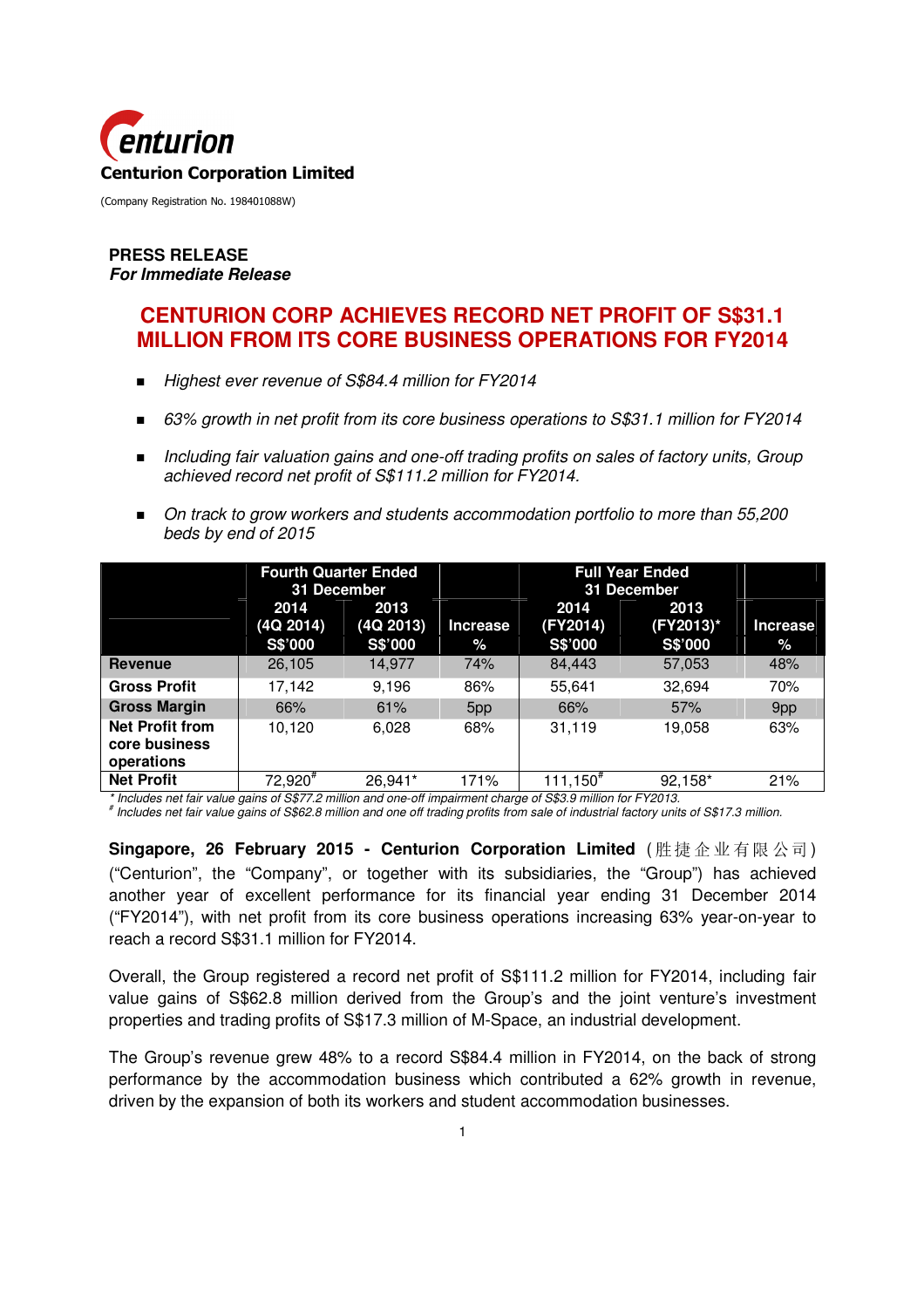

#### **PRESS RELEASE For Immediate Release**

# **CENTURION CORP ACHIEVES RECORD NET PROFIT OF S\$31.1 MILLION FROM ITS CORE BUSINESS OPERATIONS FOR FY2014**

- Highest ever revenue of S\$84.4 million for FY2014
- 63% growth in net profit from its core business operations to S\$31.1 million for FY2014
- Including fair valuation gains and one-off trading profits on sales of factory units, Group achieved record net profit of S\$111.2 million for FY2014.
- On track to grow workers and students accommodation portfolio to more than 55,200 beds by end of 2015

|                                                       | <b>Fourth Quarter Ended</b><br>31 December |                   | <b>Full Year Ended</b><br>31 December |                  |                   |          |
|-------------------------------------------------------|--------------------------------------------|-------------------|---------------------------------------|------------------|-------------------|----------|
|                                                       | 2014<br>(4Q 2014)                          | 2013<br>(4Q 2013) | <b>Increase</b>                       | 2014<br>(FY2014) | 2013<br>(FY2013)* | Increase |
|                                                       | S\$'000                                    | S\$'000           | $\%$                                  | S\$'000          | S\$'000           | $\%$     |
| Revenue                                               | 26,105                                     | 14,977            | 74%                                   | 84,443           | 57,053            | 48%      |
| <b>Gross Profit</b>                                   | 17,142                                     | 9.196             | 86%                                   | 55.641           | 32,694            | 70%      |
| <b>Gross Margin</b>                                   | 66%                                        | 61%               | 5pp                                   | 66%              | 57%               | 9pp      |
| <b>Net Profit from</b><br>core business<br>operations | 10.120                                     | 6.028             | 68%                                   | 31,119           | 19.058            | 63%      |
| <b>Net Profit</b>                                     | 72,920"                                    | 26.941*           | 171%                                  | 111,150″         | 92,158*           | 21%      |

\* Includes net fair value gains of S\$77.2 million and one-off impairment charge of S\$3.9 million for FY2013.

# Includes net fair value gains of S\$62.8 million and one off trading profits from sale of industrial factory units of S\$17.3 million.

**Singapore, 26 February 2015 - Centurion Corporation Limited** ( 胜 捷 企业 有限 公司) ("Centurion", the "Company", or together with its subsidiaries, the "Group") has achieved another year of excellent performance for its financial year ending 31 December 2014 ("FY2014"), with net profit from its core business operations increasing 63% year-on-year to reach a record S\$31.1 million for FY2014.

Overall, the Group registered a record net profit of S\$111.2 million for FY2014, including fair value gains of S\$62.8 million derived from the Group's and the joint venture's investment properties and trading profits of S\$17.3 million of M-Space, an industrial development.

The Group's revenue grew 48% to a record S\$84.4 million in FY2014, on the back of strong performance by the accommodation business which contributed a 62% growth in revenue, driven by the expansion of both its workers and student accommodation businesses.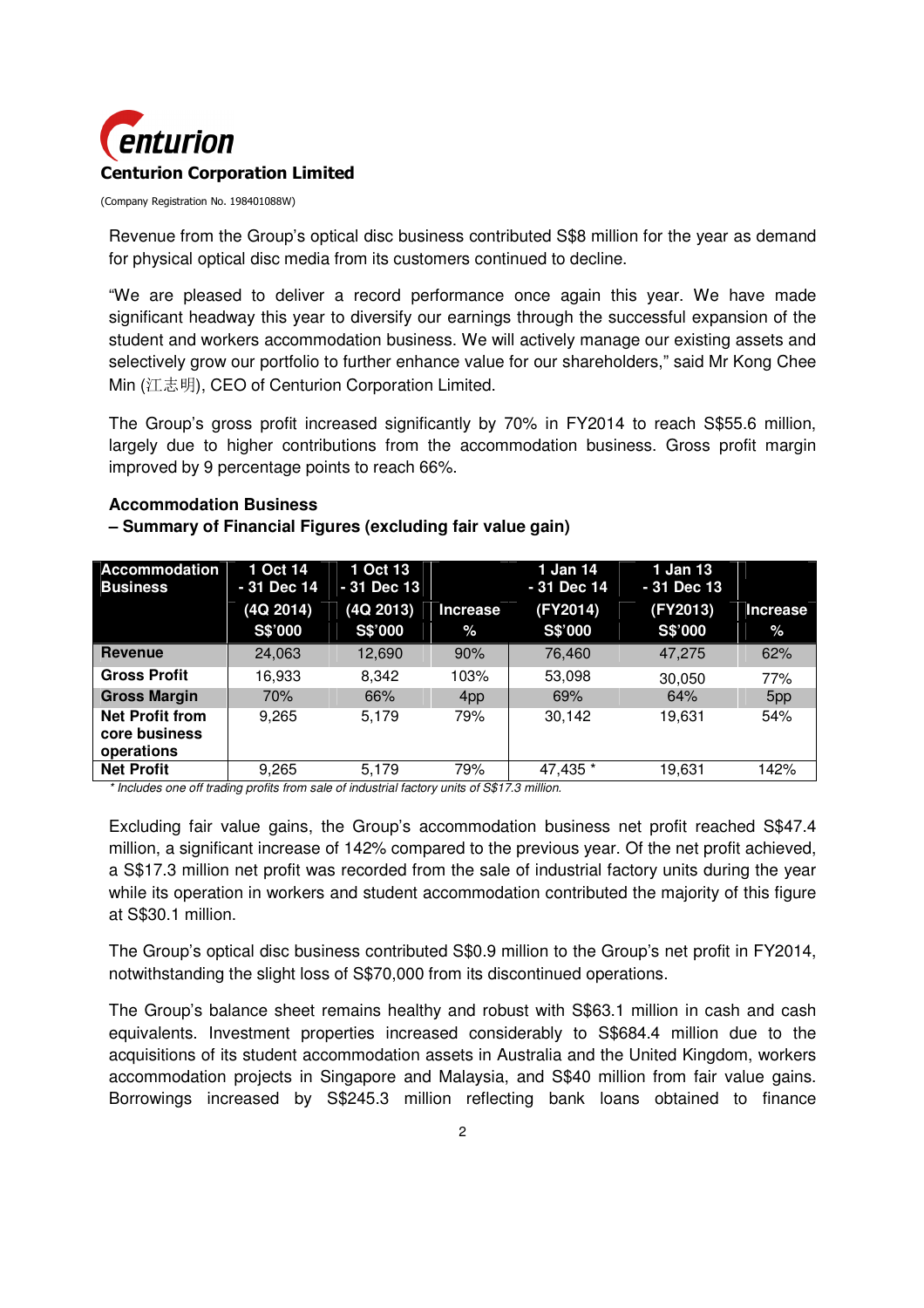

Revenue from the Group's optical disc business contributed S\$8 million for the year as demand for physical optical disc media from its customers continued to decline.

"We are pleased to deliver a record performance once again this year. We have made significant headway this year to diversify our earnings through the successful expansion of the student and workers accommodation business. We will actively manage our existing assets and selectively grow our portfolio to further enhance value for our shareholders," said Mr Kong Chee Min (江志明), CEO of Centurion Corporation Limited.

The Group's gross profit increased significantly by 70% in FY2014 to reach S\$55.6 million, largely due to higher contributions from the accommodation business. Gross profit margin improved by 9 percentage points to reach 66%.

#### **Accommodation Business**

#### **– Summary of Financial Figures (excluding fair value gain)**

| <b>Accommodation</b><br><b>Business</b>               | 1 Oct 14<br>- 31 Dec 14 | 1 Oct 13<br>- 31 Dec 13 |                 | 1 Jan 14<br>- 31 Dec 14 | 1 Jan 13<br>- 31 Dec 13 |                 |
|-------------------------------------------------------|-------------------------|-------------------------|-----------------|-------------------------|-------------------------|-----------------|
|                                                       | (4Q 2014)               | (4Q 2013)               | Increase        | (FY2014)                | (FY2013)                | <b>Increase</b> |
|                                                       | S\$'000                 | S\$'000                 | $\%$            | S\$'000                 | S\$'000                 | $\frac{6}{6}$   |
| <b>Revenue</b>                                        | 24,063                  | 12,690                  | 90%             | 76,460                  | 47,275                  | 62%             |
| <b>Gross Profit</b>                                   | 16.933                  | 8.342                   | 103%            | 53,098                  | 30,050                  | 77%             |
| <b>Gross Margin</b>                                   | 70%                     | 66%                     | 4 <sub>pp</sub> | 69%                     | 64%                     | 5 <sub>pp</sub> |
| <b>Net Profit from</b><br>core business<br>operations | 9.265                   | 5.179                   | 79%             | 30,142                  | 19,631                  | 54%             |
| <b>Net Profit</b>                                     | 9,265                   | 5,179                   | 79%             | 47,435 *                | 19,631                  | 142%            |

\* Includes one off trading profits from sale of industrial factory units of S\$17.3 million.

Excluding fair value gains, the Group's accommodation business net profit reached S\$47.4 million, a significant increase of 142% compared to the previous year. Of the net profit achieved, a S\$17.3 million net profit was recorded from the sale of industrial factory units during the year while its operation in workers and student accommodation contributed the majority of this figure at S\$30.1 million.

The Group's optical disc business contributed S\$0.9 million to the Group's net profit in FY2014, notwithstanding the slight loss of S\$70,000 from its discontinued operations.

The Group's balance sheet remains healthy and robust with S\$63.1 million in cash and cash equivalents. Investment properties increased considerably to S\$684.4 million due to the acquisitions of its student accommodation assets in Australia and the United Kingdom, workers accommodation projects in Singapore and Malaysia, and S\$40 million from fair value gains. Borrowings increased by S\$245.3 million reflecting bank loans obtained to finance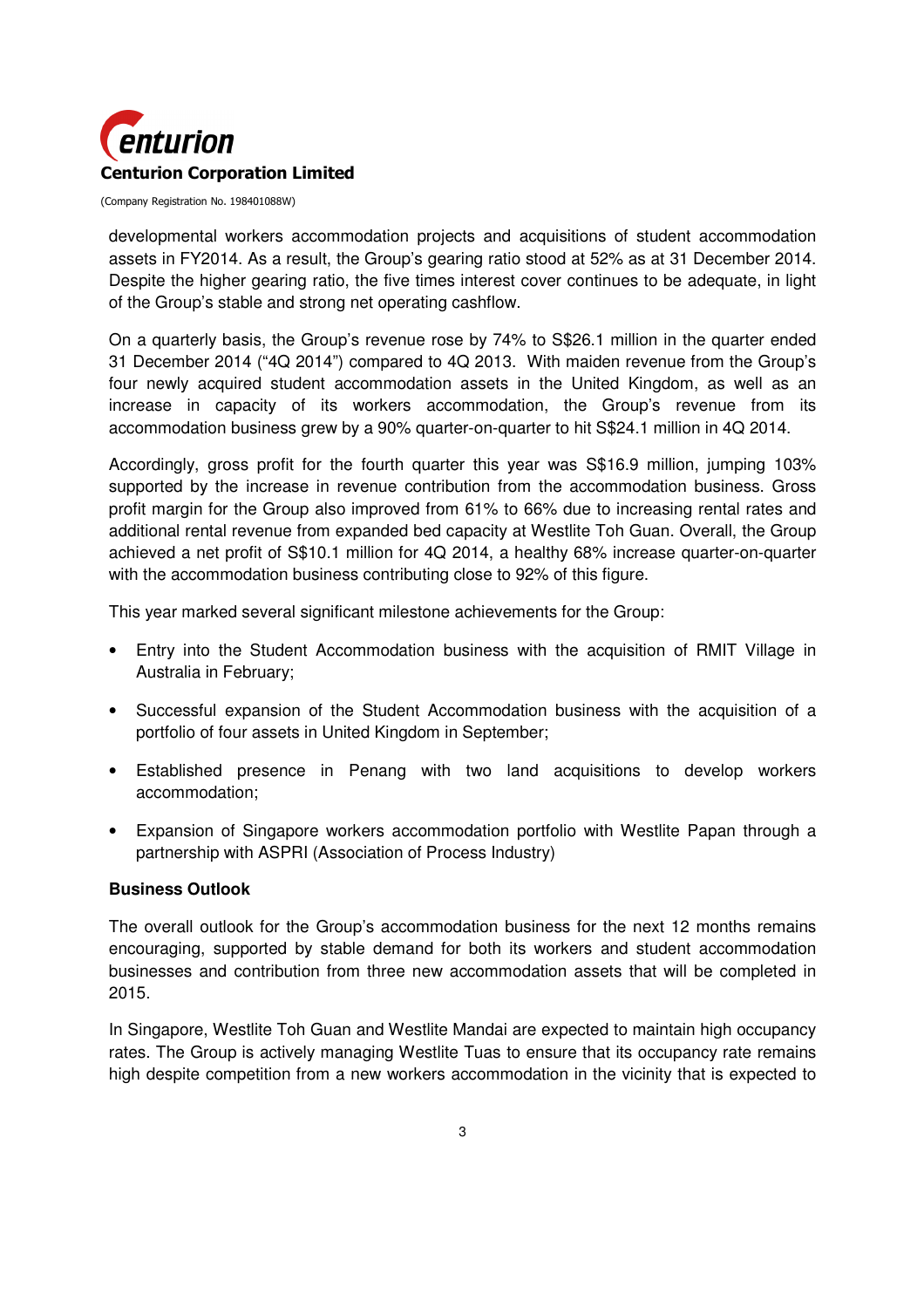

developmental workers accommodation projects and acquisitions of student accommodation assets in FY2014. As a result, the Group's gearing ratio stood at 52% as at 31 December 2014. Despite the higher gearing ratio, the five times interest cover continues to be adequate, in light of the Group's stable and strong net operating cashflow.

On a quarterly basis, the Group's revenue rose by 74% to S\$26.1 million in the quarter ended 31 December 2014 ("4Q 2014") compared to 4Q 2013. With maiden revenue from the Group's four newly acquired student accommodation assets in the United Kingdom, as well as an increase in capacity of its workers accommodation, the Group's revenue from its accommodation business grew by a 90% quarter-on-quarter to hit S\$24.1 million in 4Q 2014.

Accordingly, gross profit for the fourth quarter this year was S\$16.9 million, jumping 103% supported by the increase in revenue contribution from the accommodation business. Gross profit margin for the Group also improved from 61% to 66% due to increasing rental rates and additional rental revenue from expanded bed capacity at Westlite Toh Guan. Overall, the Group achieved a net profit of S\$10.1 million for 4Q 2014, a healthy 68% increase quarter-on-quarter with the accommodation business contributing close to 92% of this figure.

This year marked several significant milestone achievements for the Group:

- Entry into the Student Accommodation business with the acquisition of RMIT Village in Australia in February;
- Successful expansion of the Student Accommodation business with the acquisition of a portfolio of four assets in United Kingdom in September;
- Established presence in Penang with two land acquisitions to develop workers accommodation;
- Expansion of Singapore workers accommodation portfolio with Westlite Papan through a partnership with ASPRI (Association of Process Industry)

#### **Business Outlook**

The overall outlook for the Group's accommodation business for the next 12 months remains encouraging, supported by stable demand for both its workers and student accommodation businesses and contribution from three new accommodation assets that will be completed in 2015.

In Singapore, Westlite Toh Guan and Westlite Mandai are expected to maintain high occupancy rates. The Group is actively managing Westlite Tuas to ensure that its occupancy rate remains high despite competition from a new workers accommodation in the vicinity that is expected to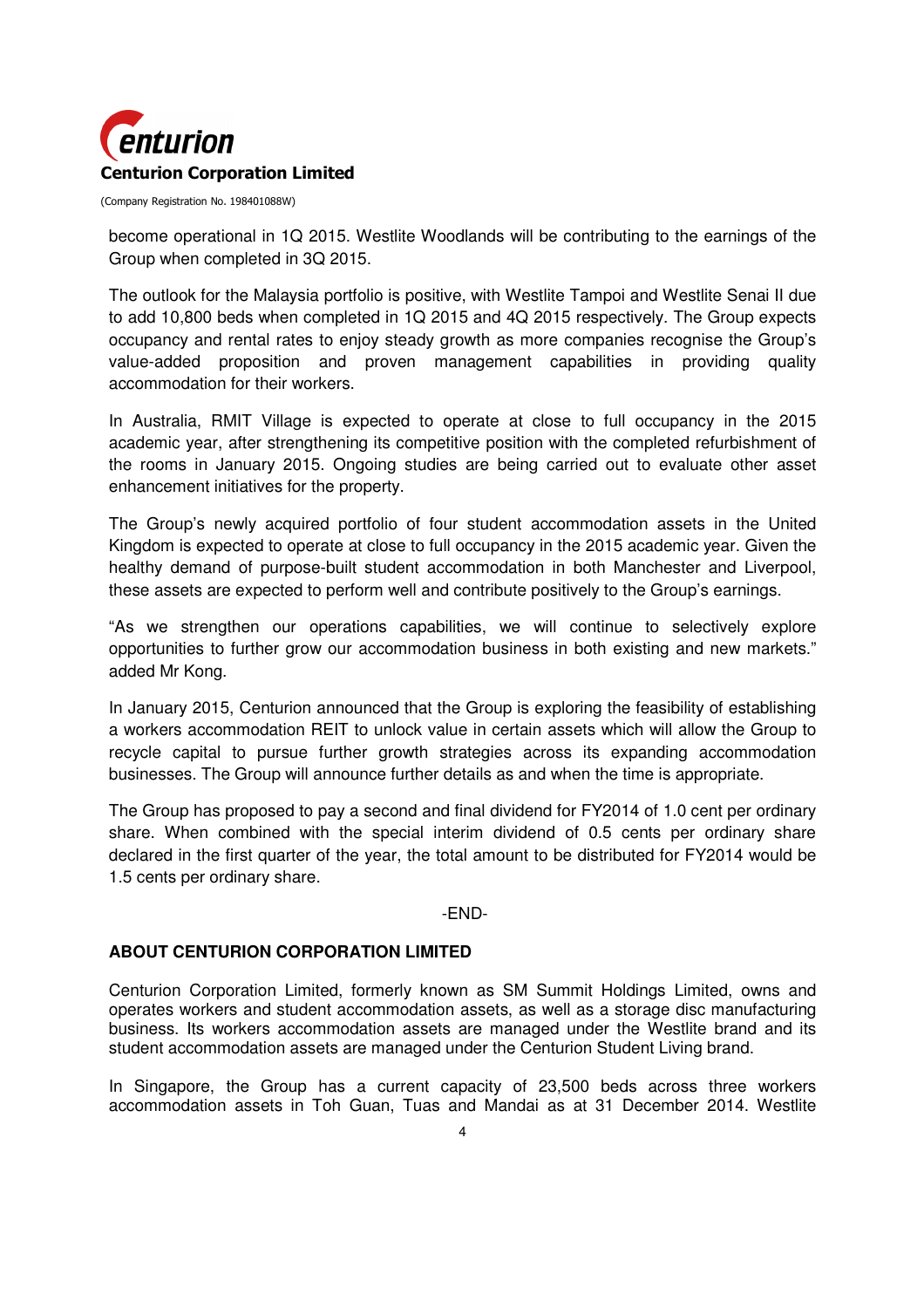

become operational in 1Q 2015. Westlite Woodlands will be contributing to the earnings of the Group when completed in 3Q 2015.

The outlook for the Malaysia portfolio is positive, with Westlite Tampoi and Westlite Senai II due to add 10,800 beds when completed in 1Q 2015 and 4Q 2015 respectively. The Group expects occupancy and rental rates to enjoy steady growth as more companies recognise the Group's value-added proposition and proven management capabilities in providing quality accommodation for their workers.

In Australia, RMIT Village is expected to operate at close to full occupancy in the 2015 academic year, after strengthening its competitive position with the completed refurbishment of the rooms in January 2015. Ongoing studies are being carried out to evaluate other asset enhancement initiatives for the property.

The Group's newly acquired portfolio of four student accommodation assets in the United Kingdom is expected to operate at close to full occupancy in the 2015 academic year. Given the healthy demand of purpose-built student accommodation in both Manchester and Liverpool, these assets are expected to perform well and contribute positively to the Group's earnings.

"As we strengthen our operations capabilities, we will continue to selectively explore opportunities to further grow our accommodation business in both existing and new markets." added Mr Kong.

In January 2015, Centurion announced that the Group is exploring the feasibility of establishing a workers accommodation REIT to unlock value in certain assets which will allow the Group to recycle capital to pursue further growth strategies across its expanding accommodation businesses. The Group will announce further details as and when the time is appropriate.

The Group has proposed to pay a second and final dividend for FY2014 of 1.0 cent per ordinary share. When combined with the special interim dividend of 0.5 cents per ordinary share declared in the first quarter of the year, the total amount to be distributed for FY2014 would be 1.5 cents per ordinary share.

#### -END-

### **ABOUT CENTURION CORPORATION LIMITED**

Centurion Corporation Limited, formerly known as SM Summit Holdings Limited, owns and operates workers and student accommodation assets, as well as a storage disc manufacturing business. Its workers accommodation assets are managed under the Westlite brand and its student accommodation assets are managed under the Centurion Student Living brand.

In Singapore, the Group has a current capacity of 23,500 beds across three workers accommodation assets in Toh Guan, Tuas and Mandai as at 31 December 2014. Westlite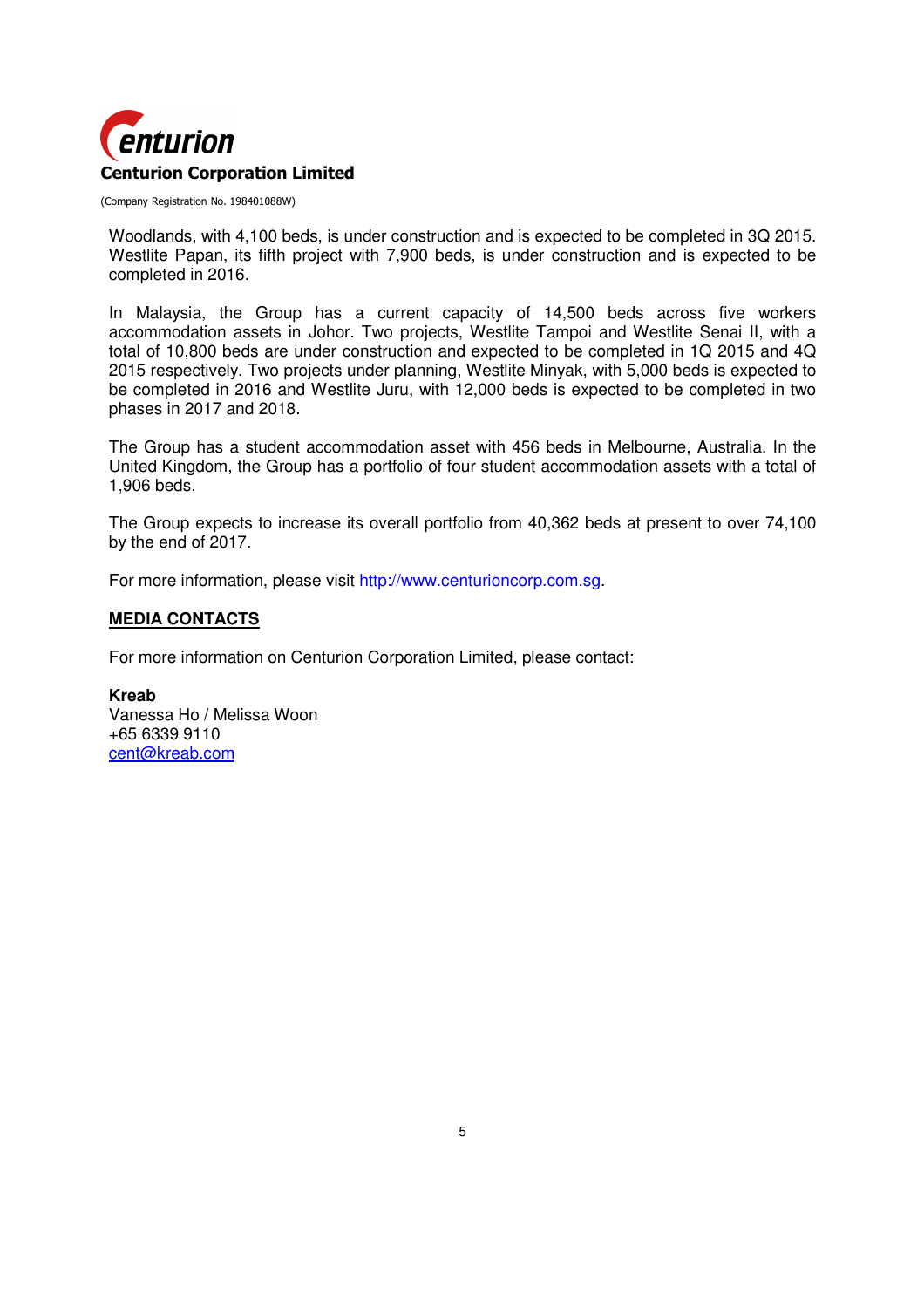

Woodlands, with 4,100 beds, is under construction and is expected to be completed in 3Q 2015. Westlite Papan, its fifth project with 7,900 beds, is under construction and is expected to be completed in 2016.

In Malaysia, the Group has a current capacity of 14,500 beds across five workers accommodation assets in Johor. Two projects, Westlite Tampoi and Westlite Senai II, with a total of 10,800 beds are under construction and expected to be completed in 1Q 2015 and 4Q 2015 respectively. Two projects under planning, Westlite Minyak, with 5,000 beds is expected to be completed in 2016 and Westlite Juru, with 12,000 beds is expected to be completed in two phases in 2017 and 2018.

The Group has a student accommodation asset with 456 beds in Melbourne, Australia. In the United Kingdom, the Group has a portfolio of four student accommodation assets with a total of 1,906 beds.

The Group expects to increase its overall portfolio from 40,362 beds at present to over 74,100 by the end of 2017.

For more information, please visit http://www.centurioncorp.com.sg.

#### **MEDIA CONTACTS**

For more information on Centurion Corporation Limited, please contact:

**Kreab**  Vanessa Ho / Melissa Woon +65 6339 9110 cent@kreab.com